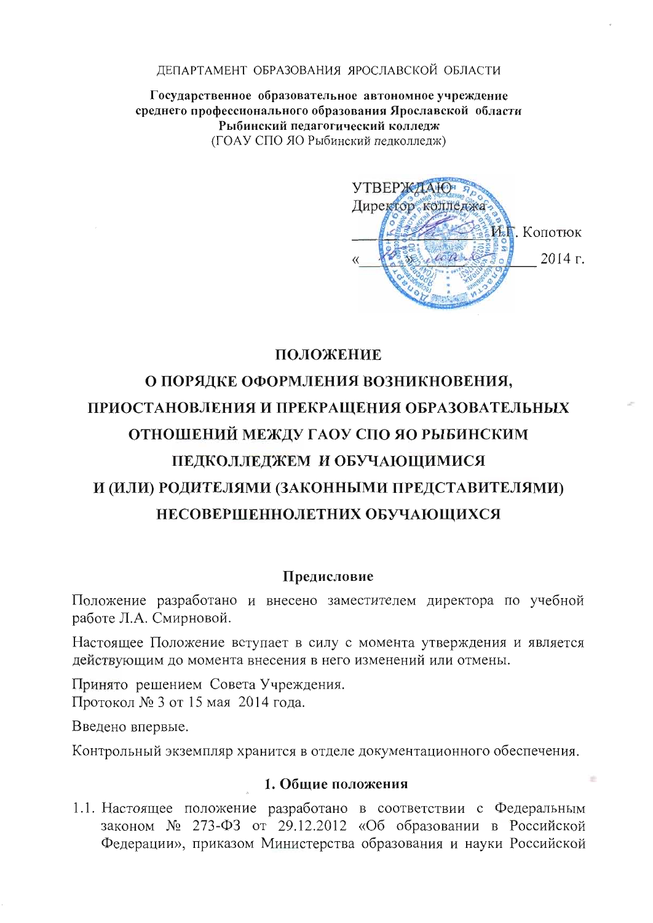#### ЛЕПАРТАМЕНТ ОБРАЗОВАНИЯ ЯРОСЛАВСКОЙ ОБЛАСТИ

Государственное образовательное автономное учреждение среднего профессионального образования Ярославской области Рыбинский педагогический колледж (ГОАУ СПО ЯО Рыбинский пелколлелж)



## ПОЛОЖЕНИЕ

# О ПОРЯДКЕ ОФОРМЛЕНИЯ ВОЗНИКНОВЕНИЯ, ПРИОСТАНОВЛЕНИЯ И ПРЕКРАЩЕНИЯ ОБРАЗОВАТЕЛЬНЫХ ОТНОШЕНИЙ МЕЖДУ ГАОУ СПО ЯО РЫБИНСКИМ ПЕДКОЛЛЕДЖЕМ И ОБУЧАЮЩИМИСЯ И (ИЛИ) РОДИТЕЛЯМИ (ЗАКОННЫМИ ПРЕДСТАВИТЕЛЯМИ) НЕСОВЕРШЕННОЛЕТНИХ ОБУЧАЮЩИХСЯ

#### Предисловие

Положение разработано и внесено заместителем директора по учебной работе Л.А. Смирновой.

Настоящее Положение вступает в силу с момента утверждения и является действующим до момента внесения в него изменений или отмены.

Принято решением Совета Учреждения. Протокол № 3 от 15 мая 2014 года.

Введено впервые.

Контрольный экземпляр хранится в отделе документационного обеспечения.

#### 1. Общие положения

1.1. Настоящее положение разработано в соответствии с Федеральным законом № 273-ФЗ от 29.12.2012 «Об образовании в Российской Федерации», приказом Министерства образования и науки Российской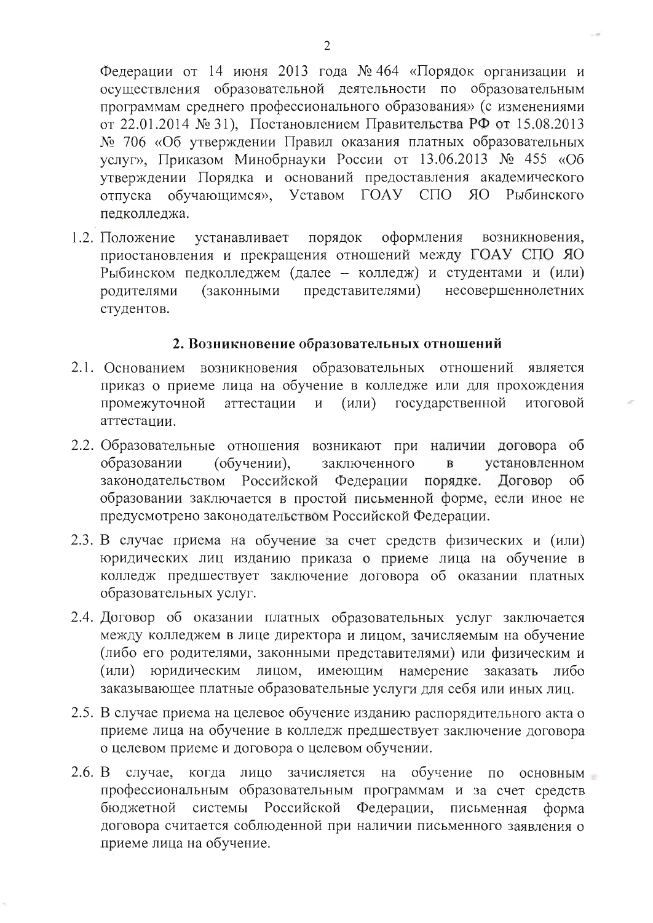Федерации от 14 июня 2013 года № 464 «Порядок организации и осуществления образовательной деятельности по образовательным программам среднего профессионального образования» (с изменениями от 22.01.2014 № 31), Постановлением Правительства РФ от 15.08.2013 № 706 «Об утверждении Правил оказания платных образовательных услуг», Приказом Минобрнауки России от 13.06.2013 № 455 «Об утверждении Порядка и оснований предоставления академического отпуска обучающимся», Уставом ГОАУ  $C\Box O$   $RO$ Рыбинского пелколлелжа.

1.2. Положение порядок оформления устанавливает возникновения, приостановления и прекращения отношений между ГОАУ СПО ЯО Рыбинском педколледжем (далее - колледж) и студентами и (или) представителями) несовершеннолетних родителями (законными студентов.

### 2. Возникновение образовательных отношений

- 2.1. Основанием возникновения образовательных отношений является приказ о приеме лица на обучение в колледже или для прохождения промежуточной аттестации  $(MJI)$ государственной И итоговой аттестации.
- 2.2. Образовательные отношения возникают при наличии договора об (обучении), заключенного установленном образовании  $\overline{B}$ законодательством Российской Федерации порядке. Договор об образовании заключается в простой письменной форме, если иное не предусмотрено законодательством Российской Федерации.
- 2.3. В случае приема на обучение за счет средств физических и (или) юридических лиц изданию приказа о приеме лица на обучение в колледж предшествует заключение договора об оказании платных образовательных услуг.
- 2.4. Договор об оказании платных образовательных услуг заключается между колледжем в лице директора и лицом, зачисляемым на обучение (либо его родителями, законными представителями) или физическим и (или) юридическим лицом, имеющим намерение заказать либо заказывающее платные образовательные услуги для себя или иных лиц.
- 2.5. В случае приема на целевое обучение изданию распорядительного акта о приеме лица на обучение в колледж предшествует заключение договора о целевом приеме и договора о целевом обучении.
- $2.6. B$ случае, когда лицо зачисляется на обучение по основным профессиональным образовательным программам и за счет средств бюджетной системы Российской Федерации, письменная форма договора считается соблюденной при наличии письменного заявления о приеме лица на обучение.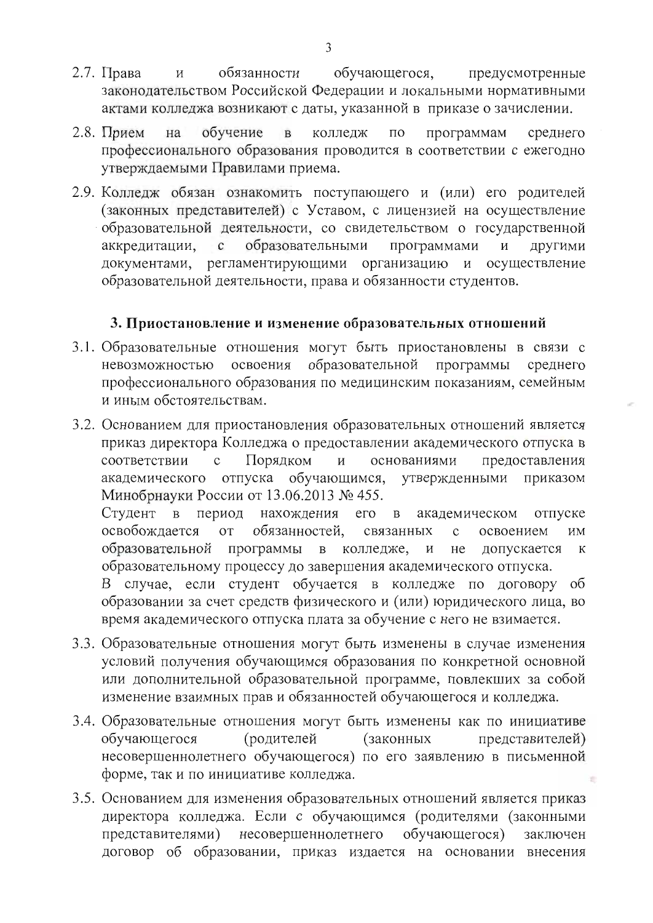- $2.7.$  Права обязанности обучающегося, предусмотренные  $\overline{M}$ законодательством Российской Федерации и локальными нормативными актами колледжа возникают с даты, указанной в приказе о зачислении.
- обучение  $\overline{B}$  $\Pi\mathrm{O}$ 2.8. Прием на колледж программам среднего профессионального образования проводится в соответствии с ежегодно утверждаемыми Правилами приема.
- 2.9. Колледж обязан ознакомить поступающего и (или) его родителей (законных представителей) с Уставом, с лицензией на осуществление образовательной деятельности, со свидетельством о государственной образовательными программами аккредитации.  $\mathbf{c}$  $\overline{M}$ ДРУГИМИ документами, регламентирующими организацию и осуществление образовательной деятельности, права и обязанности студентов.

## 3. Приостановление и изменение образовательных отношений

- 3.1. Образовательные отношения могут быть приостановлены в связи с образовательной невозможностью освоения программы среднего профессионального образования по медицинским показаниям, семейным и иным обстоятельствам.
- 3.2. Основанием для приостановления образовательных отношений является приказ директора Колледжа о предоставлении академического отпуска в Порядком основаниями соответствии  $\mathbf{c}$  $\mathbf{M}$ предоставления академического отпуска обучающимся, утвержденными приказом Минобрнауки России от 13.06.2013 № 455. период нахождения его в академическом Студент в отпуске освобождается обязанностей.  $O<sub>T</sub>$ связанных  $\mathbf{c}$ освоением ИМ образовательной программы в колледже,  $\boldsymbol{M}$ He допускается  ${\bf K}$ образовательному процессу до завершения академического отпуска. В случае, если студент обучается в колледже по договору об образовании за счет средств физического и (или) юридического лица, во время академического отпуска плата за обучение с него не взимается.
- 3.3. Образовательные отношения могут быть изменены в случае изменения условий получения обучающимся образования по конкретной основной или дополнительной образовательной программе, повлекших за собой изменение взаимных прав и обязанностей обучающегося и колледжа.
- 3.4. Образовательные отношения могут быть изменены как по инициативе (родителей обучающегося (законных представителей) несовершеннолетнего обучающегося) по его заявлению в письменной форме, так и по инициативе колледжа.
- 3.5. Основанием для изменения образовательных отношений является приказ директора колледжа. Если с обучающимся (родителями (законными представителями) несовершеннолетнего обучающегося) заключен договор об образовании, приказ издается на основании внесения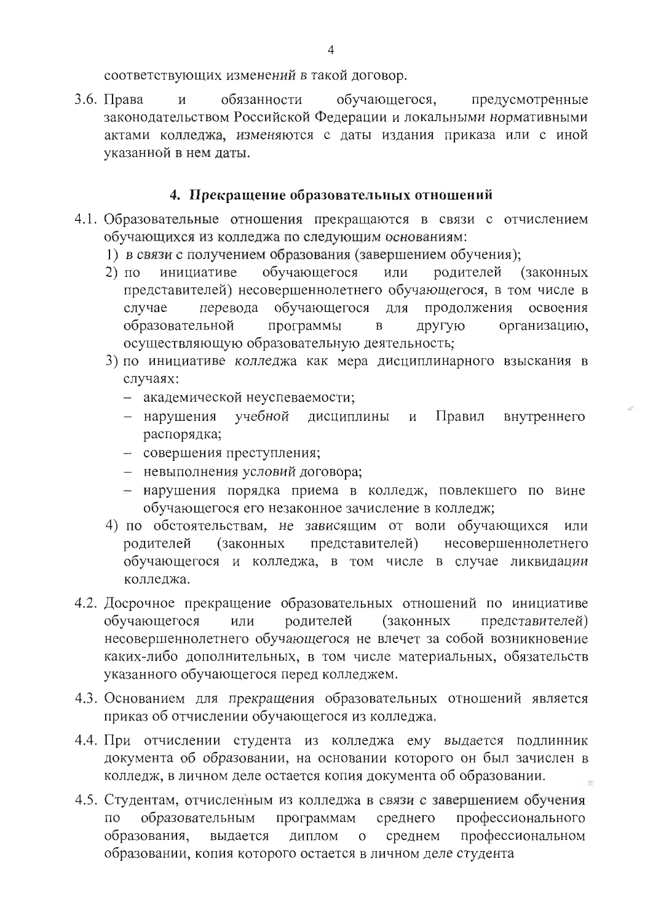соответствующих изменений в такой договор.

3.6. Права  $\overline{M}$ обязанности обучающегося, предусмотренные законодательством Российской Федерации и локальными нормативными актами колледжа, изменяются с даты издания приказа или с иной указанной в нем даты.

## 4. Прекращение образовательных отношений

- 4.1. Образовательные отношения прекращаются в связи с отчислением обучающихся из колледжа по следующим основаниям:
	- 1) в связи с получением образования (завершением обучения);
	- обучающегося  $2)$   $\pi$ o инициативе или родителей (законных представителей) несовершеннолетнего обучающегося, в том числе в перевода обучающегося для продолжения освоения случае образовательной программы  $\mathbf{B}$ другую организацию, осуществляющую образовательную деятельность;
	- 3) по инициативе колледжа как мера дисциплинарного взыскания в случаях:
		- академической неуспеваемости;
		- нарушения учебной дисциплины Правил внутреннего  $\mathbf{M}$ распорядка;
		- совершения преступления;
		- невыполнения условий договора;
		- нарушения порядка приема в колледж, повлекшего по вине обучающегося его незаконное зачисление в колледж;
	- 4) по обстоятельствам, не зависящим от воли обучающихся или родителей (законных представителей) несовершеннолетнего обучающегося и колледжа, в том числе в случае ликвидации колледжа.
- 4.2. Досрочное прекращение образовательных отношений по инициативе обучающегося или родителей (законных представителей) несовершеннолетнего обучающегося не влечет за собой возникновение каких-либо дополнительных, в том числе материальных, обязательств указанного обучающегося перед колледжем.
- 4.3. Основанием для прекращения образовательных отношений является приказ об отчислении обучающегося из колледжа.
- 4.4. При отчислении студента из колледжа ему выдается подлинник документа об образовании, на основании которого он был зачислен в колледж, в личном деле остается копия документа об образовании.
- 4.5. Студентам, отчисленным из колледжа в связи с завершением обучения образовательным профессионального ПО программам среднего образования, выдается диплом  $\mathbf{O}$ среднем профессиональном образовании, копия которого остается в личном деле студента